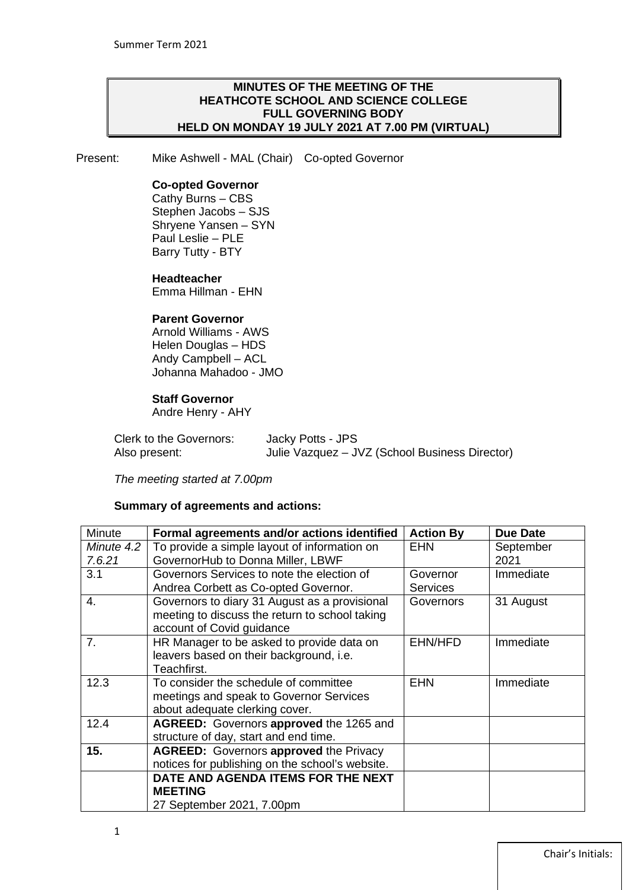#### **MINUTES OF THE MEETING OF THE HEATHCOTE SCHOOL AND SCIENCE COLLEGE FULL GOVERNING BODY HELD ON MONDAY 19 JULY 2021 AT 7.00 PM (VIRTUAL)**

Present: Mike Ashwell - MAL (Chair) Co-opted Governor

#### **Co-opted Governor**

Cathy Burns – CBS Stephen Jacobs – SJS Shryene Yansen – SYN Paul Leslie – PLE Barry Tutty - BTY

#### **Headteacher**

Emma Hillman - EHN

#### **Parent Governor**

Arnold Williams - AWS Helen Douglas – HDS Andy Campbell – ACL Johanna Mahadoo - JMO

#### **Staff Governor**

Andre Henry - AHY

| Clerk to the Governors: | Jacky Potts - JPS                              |
|-------------------------|------------------------------------------------|
| Also present:           | Julie Vazquez - JVZ (School Business Director) |

*The meeting started at 7.00pm*

#### **Summary of agreements and actions:**

| <b>Minute</b>        | Formal agreements and/or actions identified                                                                                  | <b>Action By</b>            | <b>Due Date</b>   |
|----------------------|------------------------------------------------------------------------------------------------------------------------------|-----------------------------|-------------------|
| Minute 4.2<br>7.6.21 | To provide a simple layout of information on<br>GovernorHub to Donna Miller, LBWF                                            | <b>EHN</b>                  | September<br>2021 |
| 3.1                  | Governors Services to note the election of<br>Andrea Corbett as Co-opted Governor.                                           | Governor<br><b>Services</b> | Immediate         |
| 4.                   | Governors to diary 31 August as a provisional<br>meeting to discuss the return to school taking<br>account of Covid guidance | Governors                   | 31 August         |
| 7 <sub>1</sub>       | HR Manager to be asked to provide data on<br>leavers based on their background, i.e.<br>Teachfirst.                          | EHN/HFD                     | Immediate         |
| 12.3                 | To consider the schedule of committee<br>meetings and speak to Governor Services<br>about adequate clerking cover.           | <b>EHN</b>                  | Immediate         |
| 12.4                 | AGREED: Governors approved the 1265 and<br>structure of day, start and end time.                                             |                             |                   |
| 15.                  | <b>AGREED:</b> Governors approved the Privacy<br>notices for publishing on the school's website.                             |                             |                   |
|                      | DATE AND AGENDA ITEMS FOR THE NEXT                                                                                           |                             |                   |
|                      | <b>MEETING</b>                                                                                                               |                             |                   |
|                      | 27 September 2021, 7.00pm                                                                                                    |                             |                   |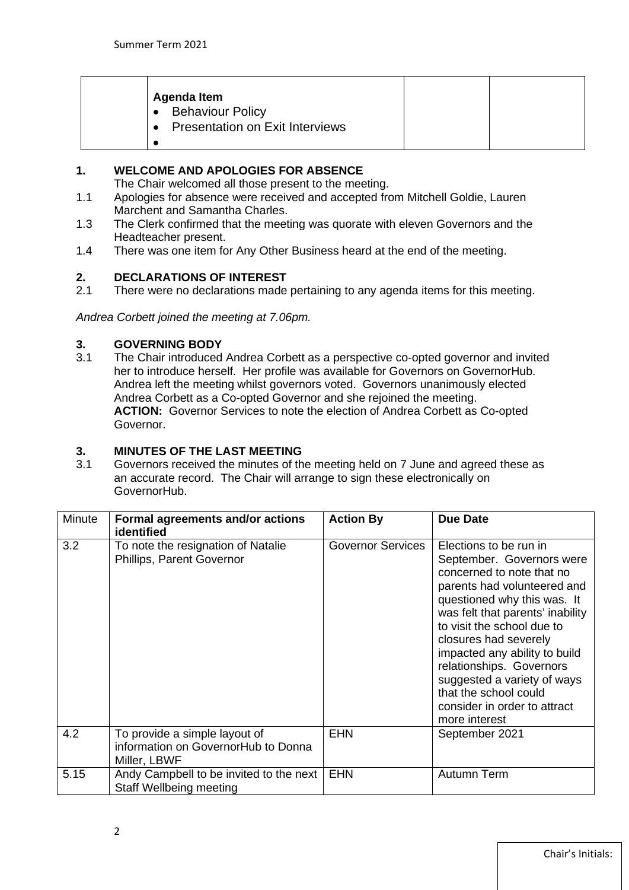| Agenda Item<br>• Behaviour Policy<br><b>Presentation on Exit Interviews</b><br>$\bullet$ |  |  |
|------------------------------------------------------------------------------------------|--|--|
|------------------------------------------------------------------------------------------|--|--|

#### **1. WELCOME AND APOLOGIES FOR ABSENCE**

The Chair welcomed all those present to the meeting.

- 1.1 Apologies for absence were received and accepted from Mitchell Goldie, Lauren Marchent and Samantha Charles.
- 1.3 The Clerk confirmed that the meeting was quorate with eleven Governors and the Headteacher present.
- 1.4 There was one item for Any Other Business heard at the end of the meeting.

# **2. DECLARATIONS OF INTEREST**<br>2.1 There were no declarations made

There were no declarations made pertaining to any agenda items for this meeting.

*Andrea Corbett joined the meeting at 7.06pm.*

# **3. GOVERNING BODY**

The Chair introduced Andrea Corbett as a perspective co-opted governor and invited her to introduce herself. Her profile was available for Governors on GovernorHub. Andrea left the meeting whilst governors voted. Governors unanimously elected Andrea Corbett as a Co-opted Governor and she rejoined the meeting. **ACTION:** Governor Services to note the election of Andrea Corbett as Co-opted Governor.

# **3. MINUTES OF THE LAST MEETING**

3.1 Governors received the minutes of the meeting held on 7 June and agreed these as an accurate record. The Chair will arrange to sign these electronically on GovernorHub.

| Minute | Formal agreements and/or actions<br>identified                                       | <b>Action By</b>         | <b>Due Date</b>                                                                                                                                                                                                                                                                                                                                                                                                 |
|--------|--------------------------------------------------------------------------------------|--------------------------|-----------------------------------------------------------------------------------------------------------------------------------------------------------------------------------------------------------------------------------------------------------------------------------------------------------------------------------------------------------------------------------------------------------------|
| 3.2    | To note the resignation of Natalie<br>Phillips, Parent Governor                      | <b>Governor Services</b> | Elections to be run in<br>September. Governors were<br>concerned to note that no<br>parents had volunteered and<br>questioned why this was. It<br>was felt that parents' inability<br>to visit the school due to<br>closures had severely<br>impacted any ability to build<br>relationships. Governors<br>suggested a variety of ways<br>that the school could<br>consider in order to attract<br>more interest |
| 4.2    | To provide a simple layout of<br>information on GovernorHub to Donna<br>Miller, LBWF | <b>EHN</b>               | September 2021                                                                                                                                                                                                                                                                                                                                                                                                  |
| 5.15   | Andy Campbell to be invited to the next<br><b>Staff Wellbeing meeting</b>            | <b>EHN</b>               | Autumn Term                                                                                                                                                                                                                                                                                                                                                                                                     |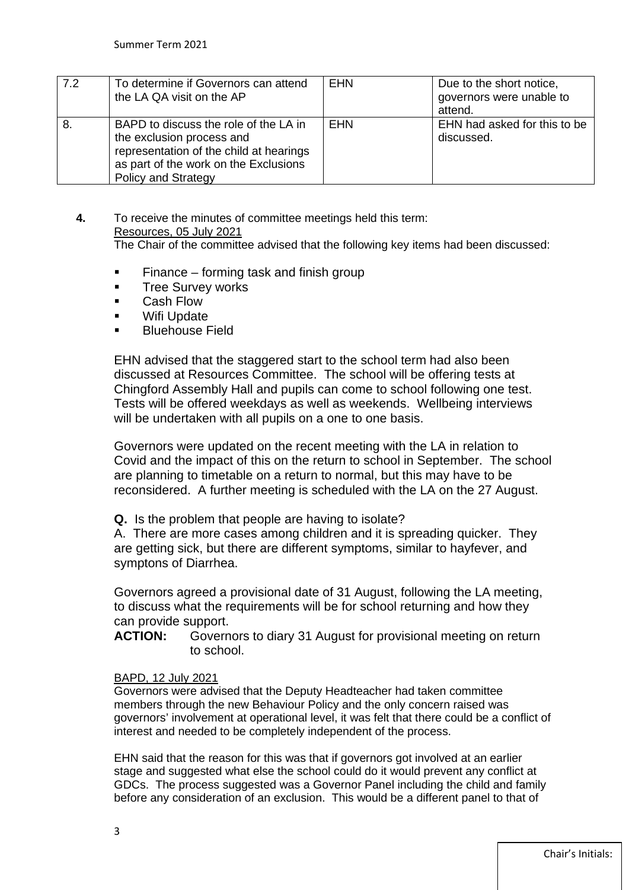| 7.2 | To determine if Governors can attend<br>the LA QA visit on the AP                                                                                                             | <b>EHN</b> | Due to the short notice,<br>governors were unable to<br>attend. |
|-----|-------------------------------------------------------------------------------------------------------------------------------------------------------------------------------|------------|-----------------------------------------------------------------|
| 8   | BAPD to discuss the role of the LA in<br>the exclusion process and<br>representation of the child at hearings<br>as part of the work on the Exclusions<br>Policy and Strategy | EHN        | EHN had asked for this to be<br>discussed.                      |

**4.** To receive the minutes of committee meetings held this term: Resources, 05 July 2021 The Chair of the committee advised that the following key items had been discussed:

- $\blacksquare$  Finance forming task and finish group
- **Tree Survey works**
- Cash Flow
- **Nifi Update**
- Bluehouse Field

EHN advised that the staggered start to the school term had also been discussed at Resources Committee. The school will be offering tests at Chingford Assembly Hall and pupils can come to school following one test. Tests will be offered weekdays as well as weekends. Wellbeing interviews will be undertaken with all pupils on a one to one basis.

Governors were updated on the recent meeting with the LA in relation to Covid and the impact of this on the return to school in September. The school are planning to timetable on a return to normal, but this may have to be reconsidered. A further meeting is scheduled with the LA on the 27 August.

**Q.** Is the problem that people are having to isolate?

A. There are more cases among children and it is spreading quicker. They are getting sick, but there are different symptoms, similar to hayfever, and symptons of Diarrhea.

Governors agreed a provisional date of 31 August, following the LA meeting, to discuss what the requirements will be for school returning and how they can provide support.

**ACTION:** Governors to diary 31 August for provisional meeting on return to school.

#### BAPD, 12 July 2021

Governors were advised that the Deputy Headteacher had taken committee members through the new Behaviour Policy and the only concern raised was governors' involvement at operational level, it was felt that there could be a conflict of interest and needed to be completely independent of the process.

EHN said that the reason for this was that if governors got involved at an earlier stage and suggested what else the school could do it would prevent any conflict at GDCs. The process suggested was a Governor Panel including the child and family before any consideration of an exclusion. This would be a different panel to that of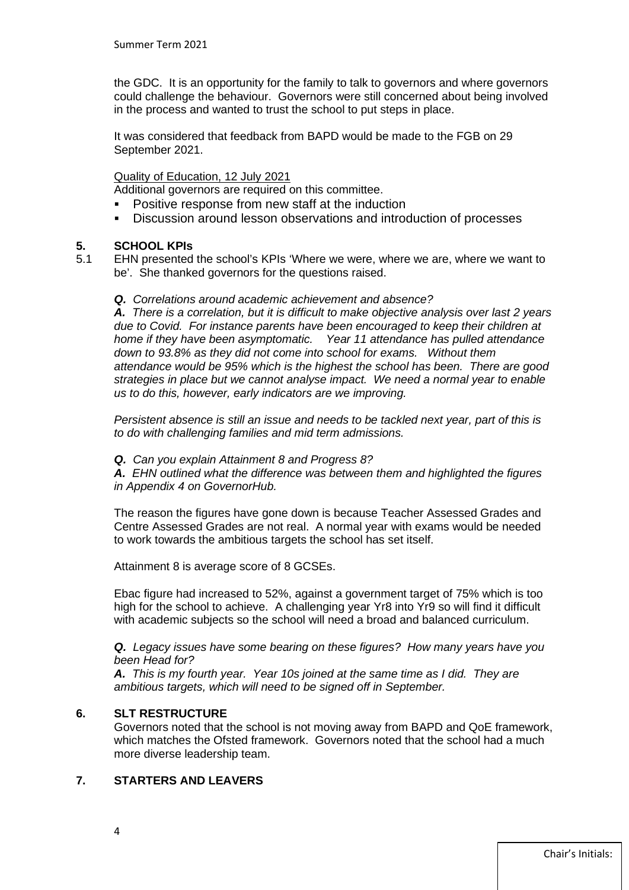the GDC. It is an opportunity for the family to talk to governors and where governors could challenge the behaviour. Governors were still concerned about being involved in the process and wanted to trust the school to put steps in place.

It was considered that feedback from BAPD would be made to the FGB on 29 September 2021.

#### Quality of Education, 12 July 2021

Additional governors are required on this committee.

- Positive response from new staff at the induction
- Discussion around lesson observations and introduction of processes

### **5. SCHOOL KPIs**

- 5.1 EHN presented the school's KPIs 'Where we were, where we are, where we want to be'. She thanked governors for the questions raised.
	- *Q. Correlations around academic achievement and absence?*

*A. There is a correlation, but it is difficult to make objective analysis over last 2 years due to Covid. For instance parents have been encouraged to keep their children at home if they have been asymptomatic. Year 11 attendance has pulled attendance down to 93.8% as they did not come into school for exams. Without them attendance would be 95% which is the highest the school has been. There are good strategies in place but we cannot analyse impact. We need a normal year to enable us to do this, however, early indicators are we improving.*

*Persistent absence is still an issue and needs to be tackled next year, part of this is to do with challenging families and mid term admissions.* 

*Q. Can you explain Attainment 8 and Progress 8?*

*A. EHN outlined what the difference was between them and highlighted the figures in Appendix 4 on GovernorHub.* 

The reason the figures have gone down is because Teacher Assessed Grades and Centre Assessed Grades are not real. A normal year with exams would be needed to work towards the ambitious targets the school has set itself.

Attainment 8 is average score of 8 GCSEs.

Ebac figure had increased to 52%, against a government target of 75% which is too high for the school to achieve. A challenging year Yr8 into Yr9 so will find it difficult with academic subjects so the school will need a broad and balanced curriculum.

#### *Q. Legacy issues have some bearing on these figures? How many years have you been Head for?*

*A. This is my fourth year. Year 10s joined at the same time as I did. They are ambitious targets, which will need to be signed off in September.*

#### **6. SLT RESTRUCTURE**

Governors noted that the school is not moving away from BAPD and QoE framework, which matches the Ofsted framework. Governors noted that the school had a much more diverse leadership team.

#### **7. STARTERS AND LEAVERS**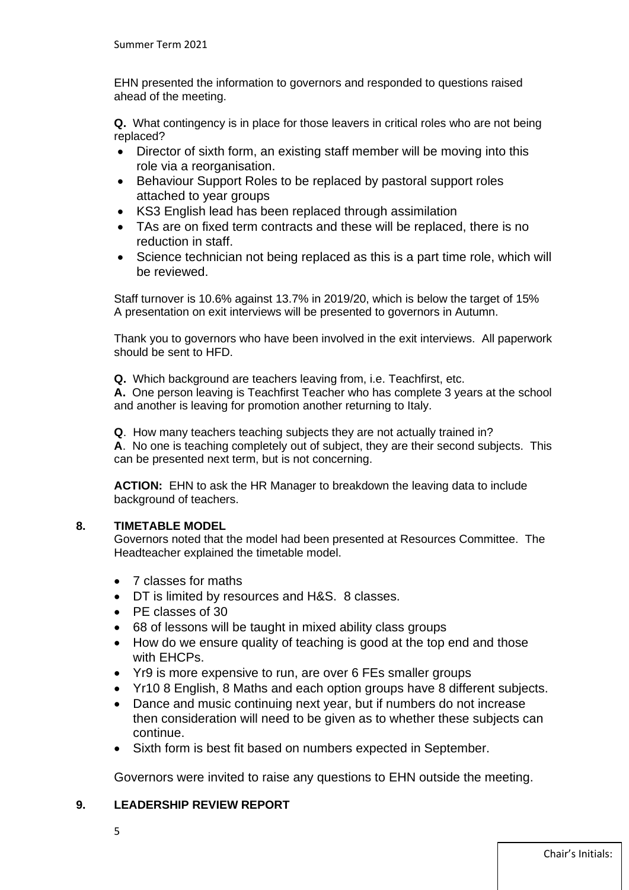EHN presented the information to governors and responded to questions raised ahead of the meeting.

**Q.** What contingency is in place for those leavers in critical roles who are not being replaced?

- Director of sixth form, an existing staff member will be moving into this role via a reorganisation.
- Behaviour Support Roles to be replaced by pastoral support roles attached to year groups
- KS3 English lead has been replaced through assimilation
- TAs are on fixed term contracts and these will be replaced, there is no reduction in staff.
- Science technician not being replaced as this is a part time role, which will be reviewed.

Staff turnover is 10.6% against 13.7% in 2019/20, which is below the target of 15% A presentation on exit interviews will be presented to governors in Autumn.

Thank you to governors who have been involved in the exit interviews. All paperwork should be sent to HFD.

**Q.** Which background are teachers leaving from, i.e. Teachfirst, etc.

**A.** One person leaving is Teachfirst Teacher who has complete 3 years at the school and another is leaving for promotion another returning to Italy.

**Q**. How many teachers teaching subjects they are not actually trained in? **A**. No one is teaching completely out of subject, they are their second subjects. This can be presented next term, but is not concerning.

**ACTION:** EHN to ask the HR Manager to breakdown the leaving data to include background of teachers.

#### **8. TIMETABLE MODEL**

Governors noted that the model had been presented at Resources Committee. The Headteacher explained the timetable model.

- 7 classes for maths
- DT is limited by resources and H&S. 8 classes.
- PE classes of 30
- 68 of lessons will be taught in mixed ability class groups
- How do we ensure quality of teaching is good at the top end and those with EHCPs.
- Yr9 is more expensive to run, are over 6 FEs smaller groups
- Yr10 8 English, 8 Maths and each option groups have 8 different subjects.
- Dance and music continuing next year, but if numbers do not increase then consideration will need to be given as to whether these subjects can continue.
- Sixth form is best fit based on numbers expected in September.

Governors were invited to raise any questions to EHN outside the meeting.

#### **9. LEADERSHIP REVIEW REPORT**

5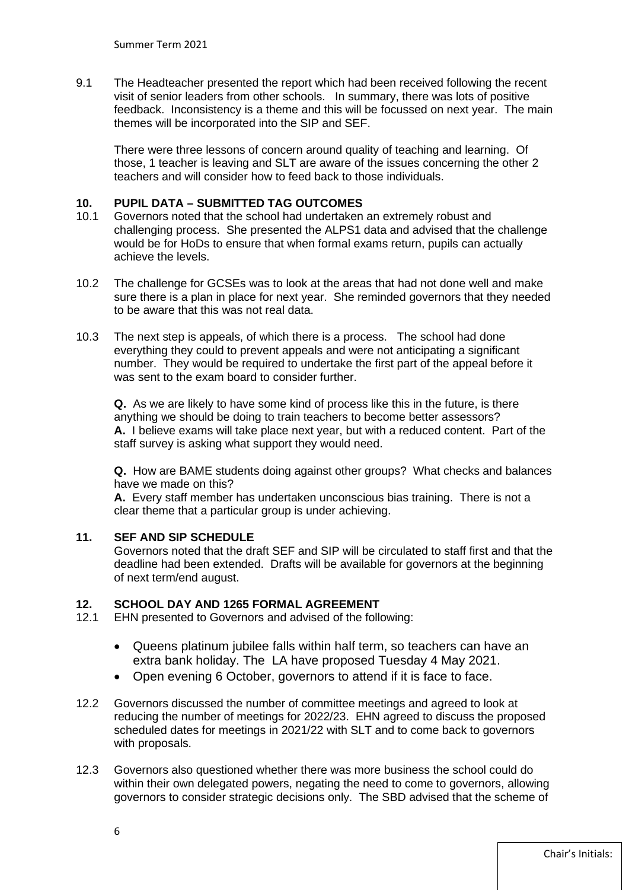9.1 The Headteacher presented the report which had been received following the recent visit of senior leaders from other schools. In summary, there was lots of positive feedback. Inconsistency is a theme and this will be focussed on next year. The main themes will be incorporated into the SIP and SEF.

There were three lessons of concern around quality of teaching and learning. Of those, 1 teacher is leaving and SLT are aware of the issues concerning the other 2 teachers and will consider how to feed back to those individuals.

### **10. PUPIL DATA – SUBMITTED TAG OUTCOMES**

- 10.1 Governors noted that the school had undertaken an extremely robust and challenging process. She presented the ALPS1 data and advised that the challenge would be for HoDs to ensure that when formal exams return, pupils can actually achieve the levels.
- 10.2 The challenge for GCSEs was to look at the areas that had not done well and make sure there is a plan in place for next year. She reminded governors that they needed to be aware that this was not real data.
- 10.3 The next step is appeals, of which there is a process. The school had done everything they could to prevent appeals and were not anticipating a significant number. They would be required to undertake the first part of the appeal before it was sent to the exam board to consider further.

**Q.** As we are likely to have some kind of process like this in the future, is there anything we should be doing to train teachers to become better assessors? **A.** I believe exams will take place next year, but with a reduced content. Part of the staff survey is asking what support they would need.

**Q.** How are BAME students doing against other groups? What checks and balances have we made on this?

**A.** Every staff member has undertaken unconscious bias training. There is not a clear theme that a particular group is under achieving.

#### **11. SEF AND SIP SCHEDULE**

Governors noted that the draft SEF and SIP will be circulated to staff first and that the deadline had been extended. Drafts will be available for governors at the beginning of next term/end august.

## **12. SCHOOL DAY AND 1265 FORMAL AGREEMENT**

- EHN presented to Governors and advised of the following:
	- Queens platinum jubilee falls within half term, so teachers can have an extra bank holiday. The LA have proposed Tuesday 4 May 2021.
	- Open evening 6 October, governors to attend if it is face to face.
- 12.2 Governors discussed the number of committee meetings and agreed to look at reducing the number of meetings for 2022/23. EHN agreed to discuss the proposed scheduled dates for meetings in 2021/22 with SLT and to come back to governors with proposals.
- 12.3 Governors also questioned whether there was more business the school could do within their own delegated powers, negating the need to come to governors, allowing governors to consider strategic decisions only. The SBD advised that the scheme of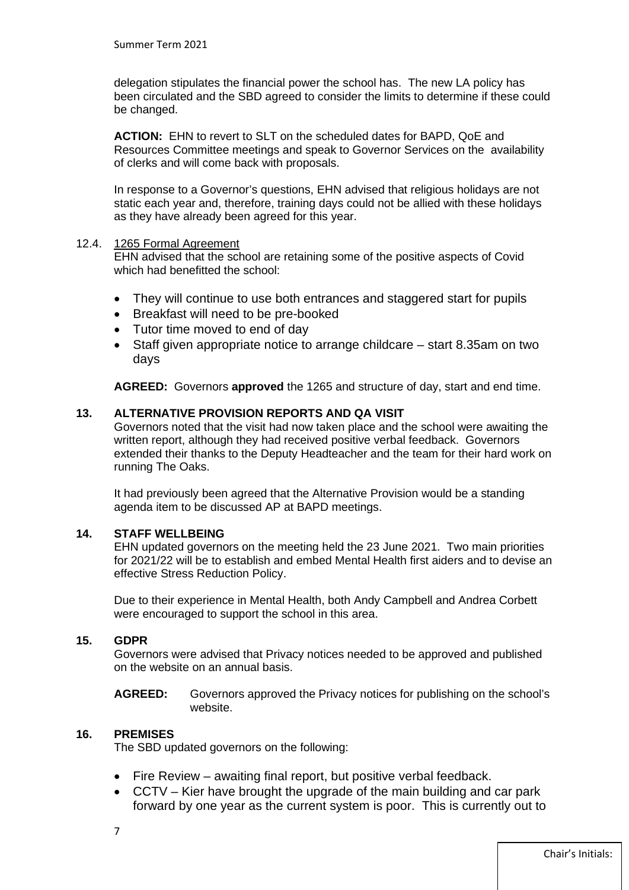delegation stipulates the financial power the school has. The new LA policy has been circulated and the SBD agreed to consider the limits to determine if these could be changed.

**ACTION:** EHN to revert to SLT on the scheduled dates for BAPD, QoE and Resources Committee meetings and speak to Governor Services on the availability of clerks and will come back with proposals.

In response to a Governor's questions, EHN advised that religious holidays are not static each year and, therefore, training days could not be allied with these holidays as they have already been agreed for this year.

#### 12.4. 1265 Formal Agreement

EHN advised that the school are retaining some of the positive aspects of Covid which had benefitted the school:

- They will continue to use both entrances and staggered start for pupils
- Breakfast will need to be pre-booked
- Tutor time moved to end of day
- Staff given appropriate notice to arrange childcare start 8.35am on two days

**AGREED:** Governors **approved** the 1265 and structure of day, start and end time.

#### **13. ALTERNATIVE PROVISION REPORTS AND QA VISIT**

Governors noted that the visit had now taken place and the school were awaiting the written report, although they had received positive verbal feedback. Governors extended their thanks to the Deputy Headteacher and the team for their hard work on running The Oaks.

It had previously been agreed that the Alternative Provision would be a standing agenda item to be discussed AP at BAPD meetings.

#### **14. STAFF WELLBEING**

EHN updated governors on the meeting held the 23 June 2021. Two main priorities for 2021/22 will be to establish and embed Mental Health first aiders and to devise an effective Stress Reduction Policy.

Due to their experience in Mental Health, both Andy Campbell and Andrea Corbett were encouraged to support the school in this area.

#### **15. GDPR**

Governors were advised that Privacy notices needed to be approved and published on the website on an annual basis.

**AGREED:** Governors approved the Privacy notices for publishing on the school's website.

#### **16. PREMISES**

The SBD updated governors on the following:

- Fire Review awaiting final report, but positive verbal feedback.
- CCTV Kier have brought the upgrade of the main building and car park forward by one year as the current system is poor. This is currently out to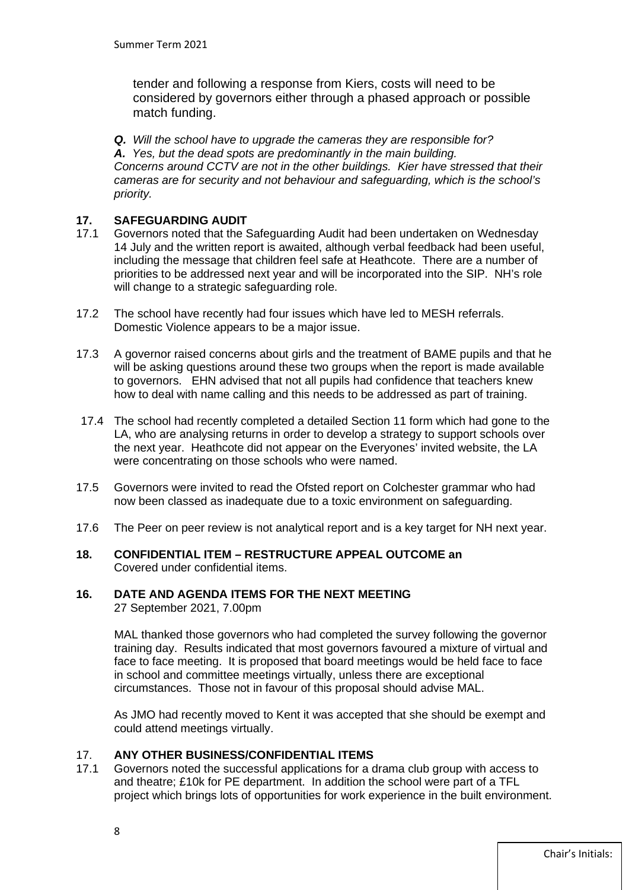tender and following a response from Kiers, costs will need to be considered by governors either through a phased approach or possible match funding.

*Q. Will the school have to upgrade the cameras they are responsible for? A. Yes, but the dead spots are predominantly in the main building. Concerns around CCTV are not in the other buildings. Kier have stressed that their cameras are for security and not behaviour and safeguarding, which is the school's priority.*

# **17. SAFEGUARDING AUDIT**

- 17.1 Governors noted that the Safeguarding Audit had been undertaken on Wednesday 14 July and the written report is awaited, although verbal feedback had been useful, including the message that children feel safe at Heathcote. There are a number of priorities to be addressed next year and will be incorporated into the SIP. NH's role will change to a strategic safeguarding role.
- 17.2 The school have recently had four issues which have led to MESH referrals. Domestic Violence appears to be a major issue.
- 17.3 A governor raised concerns about girls and the treatment of BAME pupils and that he will be asking questions around these two groups when the report is made available to governors. EHN advised that not all pupils had confidence that teachers knew how to deal with name calling and this needs to be addressed as part of training.
- 17.4 The school had recently completed a detailed Section 11 form which had gone to the LA, who are analysing returns in order to develop a strategy to support schools over the next year. Heathcote did not appear on the Everyones' invited website, the LA were concentrating on those schools who were named.
- 17.5 Governors were invited to read the Ofsted report on Colchester grammar who had now been classed as inadequate due to a toxic environment on safeguarding.
- 17.6 The Peer on peer review is not analytical report and is a key target for NH next year.
- **18. CONFIDENTIAL ITEM – RESTRUCTURE APPEAL OUTCOME an**  Covered under confidential items.

### **16. DATE AND AGENDA ITEMS FOR THE NEXT MEETING**

27 September 2021, 7.00pm

MAL thanked those governors who had completed the survey following the governor training day. Results indicated that most governors favoured a mixture of virtual and face to face meeting. It is proposed that board meetings would be held face to face in school and committee meetings virtually, unless there are exceptional circumstances. Those not in favour of this proposal should advise MAL.

As JMO had recently moved to Kent it was accepted that she should be exempt and could attend meetings virtually.

#### 17. **ANY OTHER BUSINESS/CONFIDENTIAL ITEMS**

17.1 Governors noted the successful applications for a drama club group with access to and theatre; £10k for PE department. In addition the school were part of a TFL project which brings lots of opportunities for work experience in the built environment.